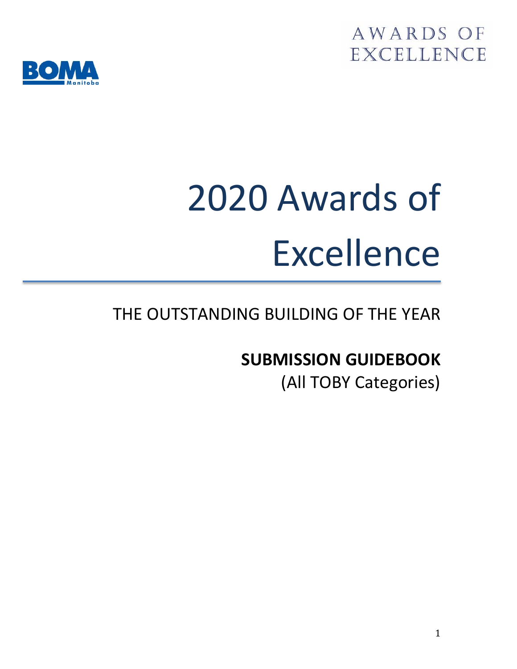



# 2020 Awards of Excellence

# THE OUTSTANDING BUILDING OF THE YEAR

# **SUBMISSION GUIDEBOOK**

(All TOBY Categories)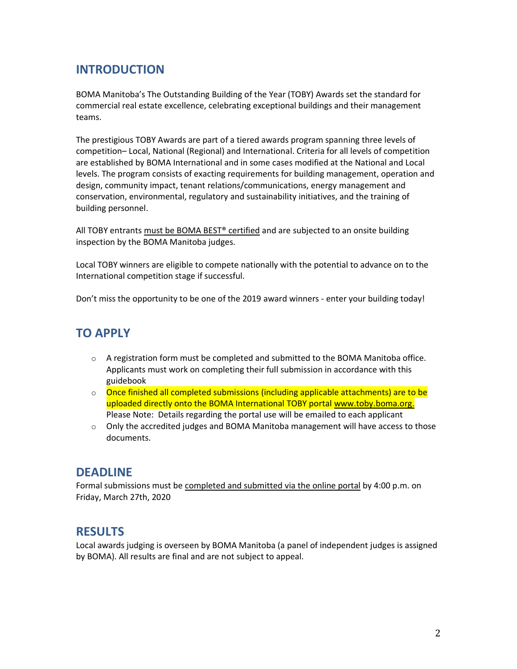## **INTRODUCTION**

BOMA Manitoba's The Outstanding Building of the Year (TOBY) Awards set the standard for commercial real estate excellence, celebrating exceptional buildings and their management teams.

The prestigious TOBY Awards are part of a tiered awards program spanning three levels of competition– Local, National (Regional) and International. Criteria for all levels of competition are established by BOMA International and in some cases modified at the National and Local levels. The program consists of exacting requirements for building management, operation and design, community impact, tenant relations/communications, energy management and conservation, environmental, regulatory and sustainability initiatives, and the training of building personnel.

All TOBY entrants must be BOMA BEST® certified and are subjected to an onsite building inspection by the BOMA Manitoba judges.

Local TOBY winners are eligible to compete nationally with the potential to advance on to the International competition stage if successful.

Don't miss the opportunity to be one of the 2019 award winners - enter your building today!

## **TO APPLY**

- $\circ$  A registration form must be completed and submitted to the BOMA Manitoba office. Applicants must work on completing their full submission in accordance with this guidebook
- $\circ$  Once finished all completed submissions (including applicable attachments) are to be uploaded directly onto the BOMA International TOBY porta[l www.toby.boma.org.](http://www.toby.boma.org/) Please Note: Details regarding the portal use will be emailed to each applicant
- $\circ$  Only the accredited judges and BOMA Manitoba management will have access to those documents.

## **DEADLINE**

Formal submissions must be completed and submitted via the online portal by 4:00 p.m. on Friday, March 27th, 2020

## **RESULTS**

Local awards judging is overseen by BOMA Manitoba (a panel of independent judges is assigned by BOMA). All results are final and are not subject to appeal.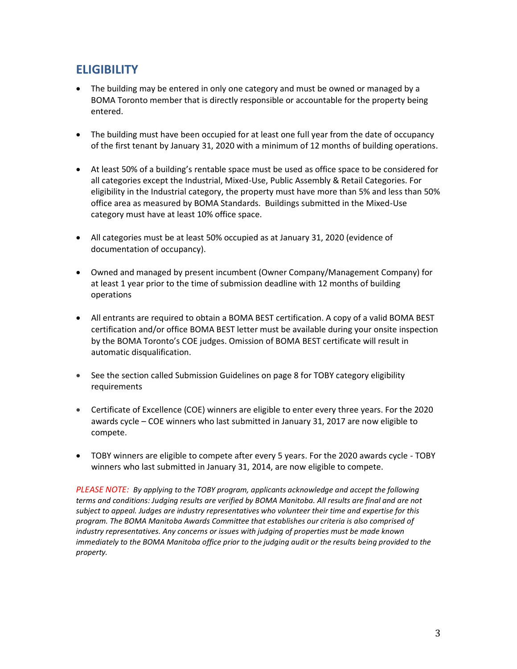## **ELIGIBILITY**

- The building may be entered in only one category and must be owned or managed by a BOMA Toronto member that is directly responsible or accountable for the property being entered.
- The building must have been occupied for at least one full year from the date of occupancy of the first tenant by January 31, 2020 with a minimum of 12 months of building operations.
- At least 50% of a building's rentable space must be used as office space to be considered for all categories except the Industrial, Mixed-Use, Public Assembly & Retail Categories. For eligibility in the Industrial category, the property must have more than 5% and less than 50% office area as measured by BOMA Standards. Buildings submitted in the Mixed-Use category must have at least 10% office space.
- All categories must be at least 50% occupied as at January 31, 2020 (evidence of documentation of occupancy).
- Owned and managed by present incumbent (Owner Company/Management Company) for at least 1 year prior to the time of submission deadline with 12 months of building operations
- All entrants are required to obtain a BOMA BEST certification. A copy of a valid BOMA BEST certification and/or office BOMA BEST letter must be available during your onsite inspection by the BOMA Toronto's COE judges. Omission of BOMA BEST certificate will result in automatic disqualification.
- See the section called Submission Guidelines on page 8 for TOBY category eligibility requirements
- Certificate of Excellence (COE) winners are eligible to enter every three years. For the 2020 awards cycle – COE winners who last submitted in January 31, 2017 are now eligible to compete.
- TOBY winners are eligible to compete after every 5 years. For the 2020 awards cycle TOBY winners who last submitted in January 31, 2014, are now eligible to compete.

*PLEASE NOTE: By applying to the TOBY program, applicants acknowledge and accept the following terms and conditions: Judging results are verified by BOMA Manitoba. All results are final and are not subject to appeal. Judges are industry representatives who volunteer their time and expertise for this program. The BOMA Manitoba Awards Committee that establishes our criteria is also comprised of industry representatives. Any concerns or issues with judging of properties must be made known immediately to the BOMA Manitoba office prior to the judging audit or the results being provided to the property.*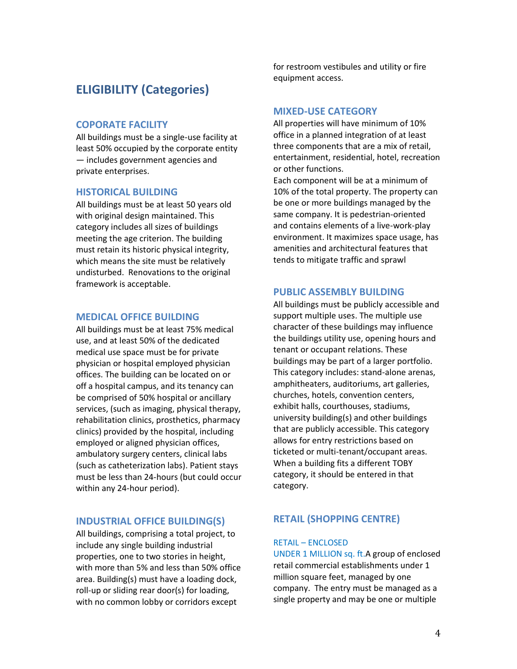## **ELIGIBILITY (Categories)**

## **COPORATE FACILITY**

All buildings must be a single-use facility at least 50% occupied by the corporate entity — includes government agencies and private enterprises.

#### **HISTORICAL BUILDING**

All buildings must be at least 50 years old with original design maintained. This category includes all sizes of buildings meeting the age criterion. The building must retain its historic physical integrity, which means the site must be relatively undisturbed. Renovations to the original framework is acceptable.

## **MEDICAL OFFICE BUILDING**

All buildings must be at least 75% medical use, and at least 50% of the dedicated medical use space must be for private physician or hospital employed physician offices. The building can be located on or off a hospital campus, and its tenancy can be comprised of 50% hospital or ancillary services, (such as imaging, physical therapy, rehabilitation clinics, prosthetics, pharmacy clinics) provided by the hospital, including employed or aligned physician offices, ambulatory surgery centers, clinical labs (such as catheterization labs). Patient stays must be less than 24-hours (but could occur within any 24-hour period).

#### **INDUSTRIAL OFFICE BUILDING(S)**

All buildings, comprising a total project, to include any single building industrial properties, one to two stories in height, with more than 5% and less than 50% office area. Building(s) must have a loading dock, roll-up or sliding rear door(s) for loading, with no common lobby or corridors except

for restroom vestibules and utility or fire equipment access.

## **MIXED-USE CATEGORY**

All properties will have minimum of 10% office in a planned integration of at least three components that are a mix of retail, entertainment, residential, hotel, recreation or other functions.

Each component will be at a minimum of 10% of the total property. The property can be one or more buildings managed by the same company. It is pedestrian-oriented and contains elements of a live-work-play environment. It maximizes space usage, has amenities and architectural features that tends to mitigate traffic and sprawl

#### **PUBLIC ASSEMBLY BUILDING**

All buildings must be publicly accessible and support multiple uses. The multiple use character of these buildings may influence the buildings utility use, opening hours and tenant or occupant relations. These buildings may be part of a larger portfolio. This category includes: stand-alone arenas, amphitheaters, auditoriums, art galleries, churches, hotels, convention centers, exhibit halls, courthouses, stadiums, university building(s) and other buildings that are publicly accessible. This category allows for entry restrictions based on ticketed or multi-tenant/occupant areas. When a building fits a different TOBY category, it should be entered in that category.

## **RETAIL (SHOPPING CENTRE)**

## RETAIL – ENCLOSED

UNDER 1 MILLION sq. ft.A group of enclosed retail commercial establishments under 1 million square feet, managed by one company. The entry must be managed as a single property and may be one or multiple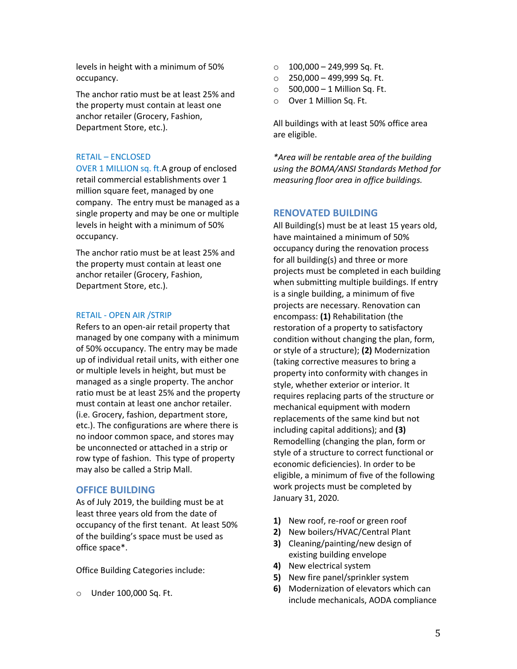levels in height with a minimum of 50% occupancy.

The anchor ratio must be at least 25% and the property must contain at least one anchor retailer (Grocery, Fashion, Department Store, etc.).

#### RETAIL – ENCLOSED

OVER 1 MILLION sq. ft.A group of enclosed retail commercial establishments over 1 million square feet, managed by one company. The entry must be managed as a single property and may be one or multiple levels in height with a minimum of 50% occupancy.

The anchor ratio must be at least 25% and the property must contain at least one anchor retailer (Grocery, Fashion, Department Store, etc.).

#### RETAIL - OPEN AIR /STRIP

Refers to an open-air retail property that managed by one company with a minimum of 50% occupancy. The entry may be made up of individual retail units, with either one or multiple levels in height, but must be managed as a single property. The anchor ratio must be at least 25% and the property must contain at least one anchor retailer. (i.e. Grocery, fashion, department store, etc.). The configurations are where there is no indoor common space, and stores may be unconnected or attached in a strip or row type of fashion. This type of property may also be called a Strip Mall.

#### **OFFICE BUILDING**

As of July 2019, the building must be at least three years old from the date of occupancy of the first tenant. At least 50% of the building's space must be used as office space\*.

Office Building Categories include:

o Under 100,000 Sq. Ft.

- $\circ$  100,000 249,999 Sq. Ft.
- $\circ$  250,000 499,999 Sq. Ft.
- $\circ$  500,000 1 Million Sq. Ft.
- o Over 1 Million Sq. Ft.

All buildings with at least 50% office area are eligible.

*\*Area will be rentable area of the building using the BOMA/ANSI Standards Method for measuring floor area in office buildings.*

## **RENOVATED BUILDING**

All Building(s) must be at least 15 years old, have maintained a minimum of 50% occupancy during the renovation process for all building(s) and three or more projects must be completed in each building when submitting multiple buildings. If entry is a single building, a minimum of five projects are necessary. Renovation can encompass: **(1)** Rehabilitation (the restoration of a property to satisfactory condition without changing the plan, form, or style of a structure); **(2)** Modernization (taking corrective measures to bring a property into conformity with changes in style, whether exterior or interior. It requires replacing parts of the structure or mechanical equipment with modern replacements of the same kind but not including capital additions); and **(3)** Remodelling (changing the plan, form or style of a structure to correct functional or economic deficiencies). In order to be eligible, a minimum of five of the following work projects must be completed by January 31, 2020.

- **1)** New roof, re-roof or green roof
- **2)** New boilers/HVAC/Central Plant
- **3)** Cleaning/painting/new design of existing building envelope
- **4)** New electrical system
- **5)** New fire panel/sprinkler system
- **6)** Modernization of elevators which can include mechanicals, AODA compliance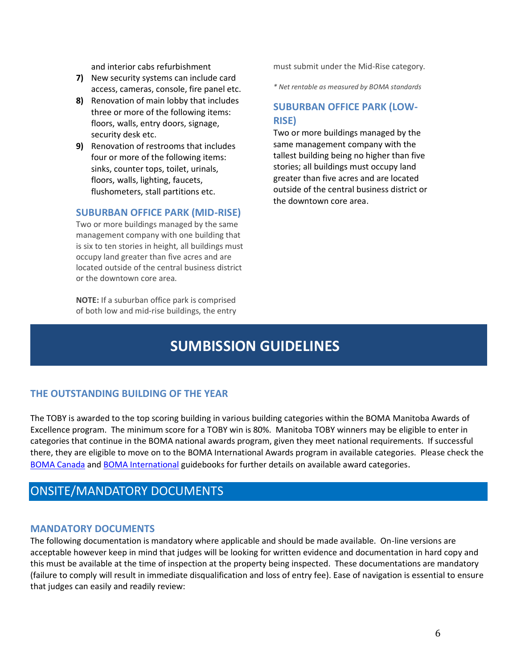and interior cabs refurbishment

- **7)** New security systems can include card access, cameras, console, fire panel etc.
- **8)** Renovation of main lobby that includes three or more of the following items: floors, walls, entry doors, signage, security desk etc.
- **9)** Renovation of restrooms that includes four or more of the following items: sinks, counter tops, toilet, urinals, floors, walls, lighting, faucets, flushometers, stall partitions etc.

## **SUBURBAN OFFICE PARK (MID-RISE)**

Two or more buildings managed by the same management company with one building that is six to ten stories in height, all buildings must occupy land greater than five acres and are located outside of the central business district or the downtown core area.

**NOTE:** If a suburban office park is comprised of both low and mid-rise buildings, the entry must submit under the Mid-Rise category.

*\* Net rentable as measured by BOMA standards*

## **SUBURBAN OFFICE PARK (LOW-RISE)**

Two or more buildings managed by the same management company with the tallest building being no higher than five stories; all buildings must occupy land greater than five acres and are located outside of the central business district or the downtown core area.

## **SUMBISSION GUIDELINES**

## **THE OUTSTANDING BUILDING OF THE YEAR**

The TOBY is awarded to the top scoring building in various building categories within the BOMA Manitoba Awards of Excellence program. The minimum score for a TOBY win is 80%. Manitoba TOBY winners may be eligible to enter in categories that continue in the BOMA national awards program, given they meet national requirements. If successful there, they are eligible to move on to the BOMA International Awards program in available categories. Please check the [BOMA Canada](http://bomacanada.ca/awards/tobyaward/) an[d BOMA International](http://www.boma.org/Pages/default.aspx) guidebooks for further details on available award categories.

## ONSITE/MANDATORY DOCUMENTS

## **MANDATORY DOCUMENTS**

The following documentation is mandatory where applicable and should be made available. On-line versions are acceptable however keep in mind that judges will be looking for written evidence and documentation in hard copy and this must be available at the time of inspection at the property being inspected. These documentations are mandatory (failure to comply will result in immediate disqualification and loss of entry fee). Ease of navigation is essential to ensure that judges can easily and readily review: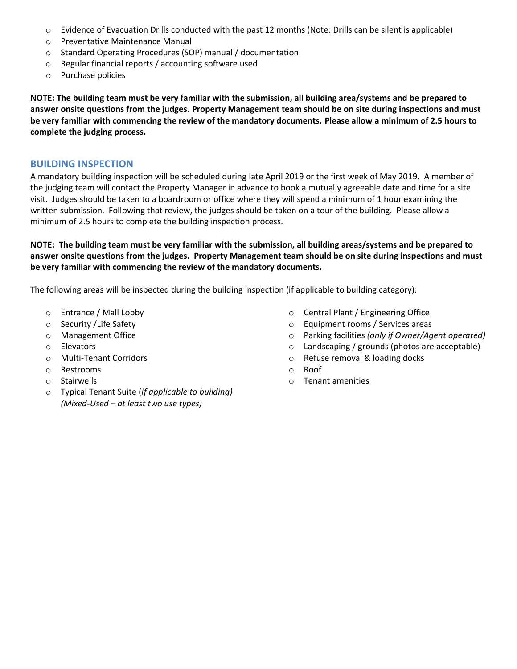- o Evidence of Evacuation Drills conducted with the past 12 months (Note: Drills can be silent is applicable)
- o Preventative Maintenance Manual
- o Standard Operating Procedures (SOP) manual / documentation
- o Regular financial reports / accounting software used
- o Purchase policies

**NOTE: The building team must be very familiar with the submission, all building area/systems and be prepared to answer onsite questions from the judges. Property Management team should be on site during inspections and must be very familiar with commencing the review of the mandatory documents. Please allow a minimum of 2.5 hours to complete the judging process.**

## **BUILDING INSPECTION**

A mandatory building inspection will be scheduled during late April 2019 or the first week of May 2019. A member of the judging team will contact the Property Manager in advance to book a mutually agreeable date and time for a site visit. Judges should be taken to a boardroom or office where they will spend a minimum of 1 hour examining the written submission. Following that review, the judges should be taken on a tour of the building. Please allow a minimum of 2.5 hours to complete the building inspection process.

**NOTE: The building team must be very familiar with the submission, all building areas/systems and be prepared to answer onsite questions from the judges. Property Management team should be on site during inspections and must be very familiar with commencing the review of the mandatory documents.** 

The following areas will be inspected during the building inspection (if applicable to building category):

- o Entrance / Mall Lobby
- o Security /Life Safety
- o Management Office
- o Elevators
- o Multi-Tenant Corridors
- o Restrooms
- o Stairwells
- o Typical Tenant Suite (*if applicable to building) (Mixed-Used – at least two use types)*
- o Central Plant / Engineering Office
- o Equipment rooms / Services areas
- o Parking facilities *(only if Owner/Agent operated)*
- o Landscaping / grounds (photos are acceptable)
- o Refuse removal & loading docks
- o Roof
- o Tenant amenities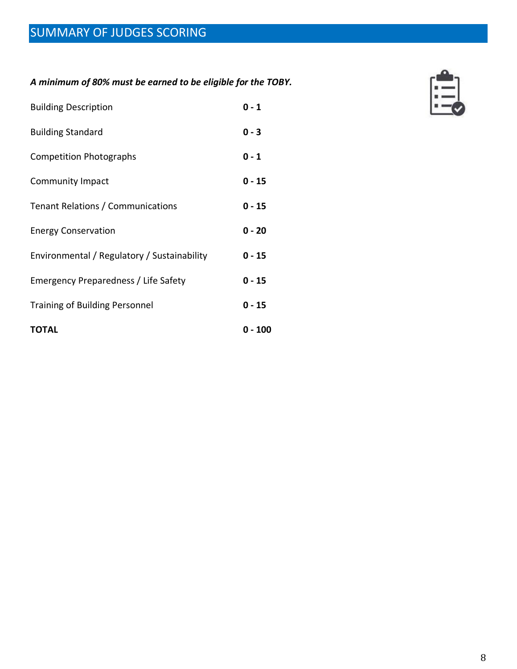*A minimum of 80% must be earned to be eligible for the TOBY.*

| <b>Building Description</b>                 | $0 - 1$  |
|---------------------------------------------|----------|
| <b>Building Standard</b>                    | $0 - 3$  |
| <b>Competition Photographs</b>              | $0 - 1$  |
| <b>Community Impact</b>                     | $0 - 15$ |
| Tenant Relations / Communications           | $0 - 15$ |
| <b>Energy Conservation</b>                  | $0 - 20$ |
| Environmental / Regulatory / Sustainability | $0 - 15$ |
| Emergency Preparedness / Life Safety        | $0 - 15$ |
| <b>Training of Building Personnel</b>       | $0 - 15$ |
| <b>TOTAL</b>                                | 0 - 100  |

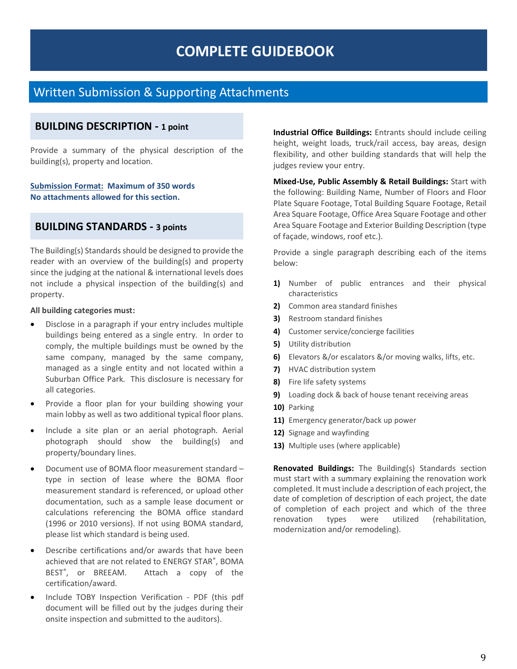## **COMPLETE GUIDEBOOK**

## Written Submission & Supporting Attachments

## **BUILDING DESCRIPTION - 1 point**

Provide a summary of the physical description of the building(s), property and location.

**Submission Format: Maximum of 350 words No attachments allowed for this section.**

## **BUILDING STANDARDS - 3 points**

The Building(s) Standards should be designed to provide the reader with an overview of the building(s) and property since the judging at the national & international levels does not include a physical inspection of the building(s) and property.

#### **All building categories must:**

- Disclose in a paragraph if your entry includes multiple buildings being entered as a single entry. In order to comply, the multiple buildings must be owned by the same company, managed by the same company, managed as a single entity and not located within a Suburban Office Park. This disclosure is necessary for all categories.
- Provide a floor plan for your building showing your main lobby as well as two additional typical floor plans.
- Include a site plan or an aerial photograph. Aerial photograph should show the building(s) and property/boundary lines.
- Document use of BOMA floor measurement standard type in section of lease where the BOMA floor measurement standard is referenced, or upload other documentation, such as a sample lease document or calculations referencing the BOMA office standard (1996 or 2010 versions). If not using BOMA standard, please list which standard is being used.
- Describe certifications and/or awards that have been achieved that are not related to ENERGY STAR® , BOMA BEST<sup>®</sup>, or BREEAM. Attach a copy of the certification/award.
- Include TOBY Inspection Verification PDF (this pdf document will be filled out by the judges during their onsite inspection and submitted to the auditors).

**Industrial Office Buildings:** Entrants should include ceiling height, weight loads, truck/rail access, bay areas, design flexibility, and other building standards that will help the judges review your entry.

**Mixed-Use, Public Assembly & Retail Buildings:** Start with the following: Building Name, Number of Floors and Floor Plate Square Footage, Total Building Square Footage, Retail Area Square Footage, Office Area Square Footage and other Area Square Footage and Exterior Building Description (type of façade, windows, roof etc.).

Provide a single paragraph describing each of the items below:

- **1)** Number of public entrances and their physical characteristics
- **2)** Common area standard finishes
- **3)** Restroom standard finishes
- **4)** Customer service/concierge facilities
- **5)** Utility distribution
- **6)** Elevators &/or escalators &/or moving walks, lifts, etc.
- **7)** HVAC distribution system
- **8)** Fire life safety systems
- **9)** Loading dock & back of house tenant receiving areas
- **10)** Parking
- **11)** Emergency generator/back up power
- **12)** Signage and wayfinding
- **13)** Multiple uses (where applicable)

**Renovated Buildings:** The Building(s) Standards section must start with a summary explaining the renovation work completed. It must include a description of each project, the date of completion of description of each project, the date of completion of each project and which of the three renovation types were utilized (rehabilitation, modernization and/or remodeling).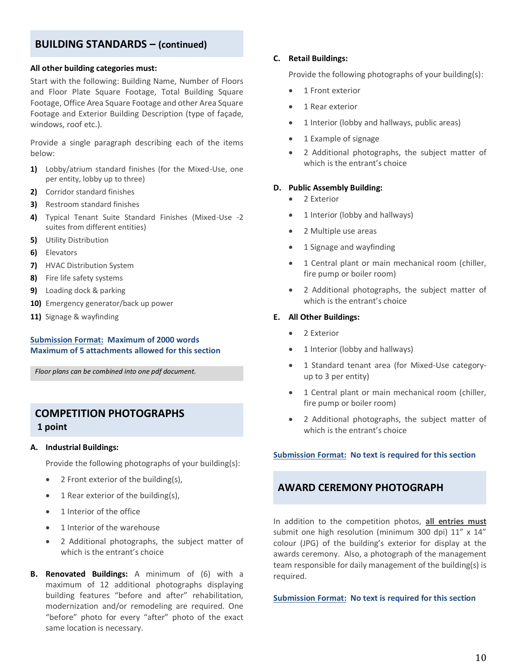## **BUILDING STANDARDS – (continued)**

#### **All other building categories must:**

Start with the following: Building Name, Number of Floors and Floor Plate Square Footage, Total Building Square Footage, Office Area Square Footage and other Area Square Footage and Exterior Building Description (type of façade, windows, roof etc.).

Provide a single paragraph describing each of the items below:

- **1)** Lobby/atrium standard finishes (for the Mixed-Use, one per entity, lobby up to three)
- **2)** Corridor standard finishes
- **3)** Restroom standard finishes
- **4)** Typical Tenant Suite Standard Finishes (Mixed-Use -2 suites from different entities)
- **5)** Utility Distribution
- **6)** Elevators
- **7)** HVAC Distribution System
- **8)** Fire life safety systems
- **9)** Loading dock & parking
- **10)** Emergency generator/back up power
- **11)** Signage & wayfinding

## **Submission Format: Maximum of 2000 words Maximum of 5 attachments allowed for this section**

*Floor plans can be combined into one pdf document.*

## **COMPETITION PHOTOGRAPHS 1 point**

#### **A. Industrial Buildings:**

Provide the following photographs of your building(s):

- 2 Front exterior of the building(s),
- 1 Rear exterior of the building(s),
- 1 Interior of the office
- 1 Interior of the warehouse
- 2 Additional photographs, the subject matter of which is the entrant's choice
- **B. Renovated Buildings:** A minimum of (6) with a maximum of 12 additional photographs displaying building features "before and after" rehabilitation, modernization and/or remodeling are required. One "before" photo for every "after" photo of the exact same location is necessary.

#### **C. Retail Buildings:**

Provide the following photographs of your building(s):

- 1 Front exterior
- 1 Rear exterior
- 1 Interior (lobby and hallways, public areas)
- 1 Example of signage
- 2 Additional photographs, the subject matter of which is the entrant's choice

#### **D. Public Assembly Building:**

- 2 Exterior
- 1 Interior (lobby and hallways)
- 2 Multiple use areas
- 1 Signage and wayfinding
- 1 Central plant or main mechanical room (chiller, fire pump or boiler room)
- 2 Additional photographs, the subject matter of which is the entrant's choice

#### **E. All Other Buildings:**

- 2 Exterior
- 1 Interior (lobby and hallways)
- 1 Standard tenant area (for Mixed-Use categoryup to 3 per entity)
- 1 Central plant or main mechanical room (chiller, fire pump or boiler room)
- 2 Additional photographs, the subject matter of which is the entrant's choice

#### **Submission Format: No text is required for this section**

## **AWARD CEREMONY PHOTOGRAPH**

In addition to the competition photos, **all entries must** submit one high resolution (minimum 300 dpi) 11" x 14" colour (JPG) of the building's exterior for display at the awards ceremony. Also, a photograph of the management team responsible for daily management of the building(s) is required.

**Submission Format: No text is required for this section**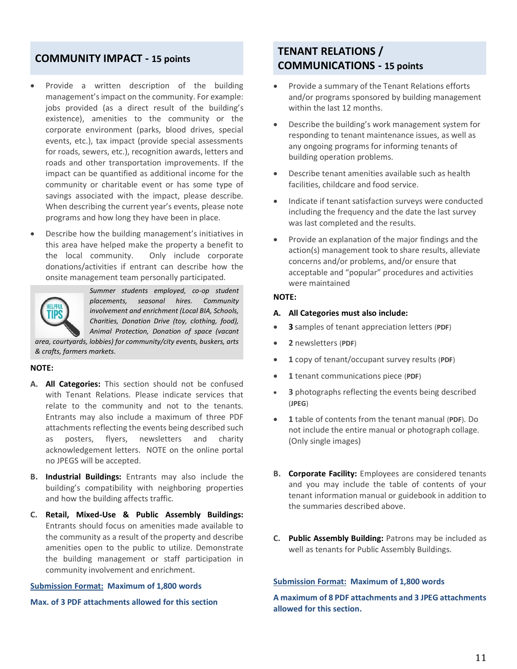## **COMMUNITY IMPACT - 15 points**

- Provide a written description of the building management's impact on the community. For example: jobs provided (as a direct result of the building's existence), amenities to the community or the corporate environment (parks, blood drives, special events, etc.), tax impact (provide special assessments for roads, sewers, etc.), recognition awards, letters and roads and other transportation improvements. If the impact can be quantified as additional income for the community or charitable event or has some type of savings associated with the impact, please describe. When describing the current year's events, please note programs and how long they have been in place.
- Describe how the building management's initiatives in this area have helped make the property a benefit to the local community. Only include corporate donations/activities if entrant can describe how the onsite management team personally participated.



*Summer students employed, co-op student placements, seasonal hires. Community involvement and enrichment (Local BIA, Schools, Charities, Donation Drive (toy, clothing, food), Animal Protection, Donation of space (vacant* 

*area, courtyards, lobbies) for community/city events, buskers, arts & crafts, farmers markets.*

#### **NOTE:**

- **A. All Categories:** This section should not be confused with Tenant Relations. Please indicate services that relate to the community and not to the tenants. Entrants may also include a maximum of three PDF attachments reflecting the events being described such as posters, flyers, newsletters and charity acknowledgement letters. NOTE on the online portal no JPEGS will be accepted.
- **B. Industrial Buildings:** Entrants may also include the building's compatibility with neighboring properties and how the building affects traffic.
- **C. Retail, Mixed-Use & Public Assembly Buildings:** Entrants should focus on amenities made available to the community as a result of the property and describe amenities open to the public to utilize. Demonstrate the building management or staff participation in community involvement and enrichment.

#### **Submission Format: Maximum of 1,800 words**

**Max. of 3 PDF attachments allowed for this section**

## **TENANT RELATIONS / COMMUNICATIONS - 15 points**

- Provide a summary of the Tenant Relations efforts and/or programs sponsored by building management within the last 12 months.
- Describe the building's work management system for responding to tenant maintenance issues, as well as any ongoing programs for informing tenants of building operation problems.
- Describe tenant amenities available such as health facilities, childcare and food service.
- Indicate if tenant satisfaction surveys were conducted including the frequency and the date the last survey was last completed and the results.
- Provide an explanation of the major findings and the action(s) management took to share results, alleviate concerns and/or problems, and/or ensure that acceptable and "popular" procedures and activities were maintained

#### **NOTE:**

#### **A. All Categories must also include:**

- **3** samples of tenant appreciation letters (**PDF**)
- **2** newsletters (**PDF**)
- **1** copy of tenant/occupant survey results (**PDF**)
- **1** tenant communications piece (**PDF**)
- **3** photographs reflecting the events being described (**JPEG**)
- **1** table of contents from the tenant manual (**PDF**). Do not include the entire manual or photograph collage. (Only single images)
- **B. Corporate Facility:** Employees are considered tenants and you may include the table of contents of your tenant information manual or guidebook in addition to the summaries described above.
- **C. Public Assembly Building:** Patrons may be included as well as tenants for Public Assembly Buildings.

#### **Submission Format: Maximum of 1,800 words**

**A maximum of 8 PDF attachments and 3 JPEG attachments allowed for this section.**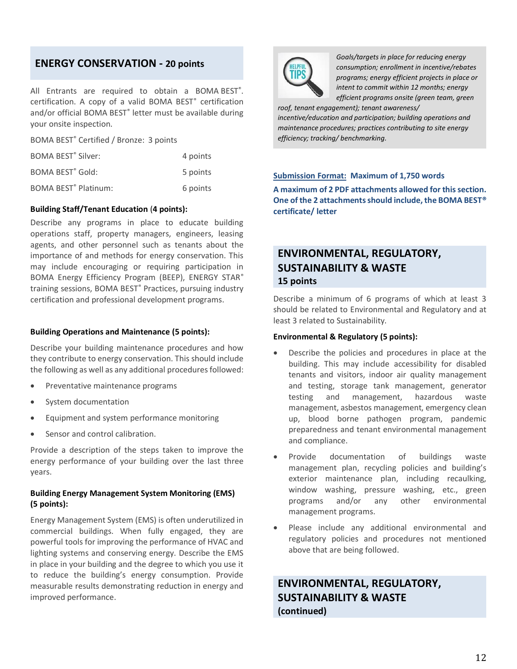## **ENERGY CONSERVATION - 20 points**

All Entrants are required to obtain a BOMA BEST<sup>®</sup>. certification. A copy of a valid BOMA BEST<sup>®</sup> certification and/or official BOMA BEST<sup>®</sup> letter must be available during your onsite inspection.

BOMA BEST® Certified / Bronze: 3 points

| <b>BOMA BEST<sup>®</sup> Silver:</b>   | 4 points |
|----------------------------------------|----------|
| <b>BOMA BEST<sup>®</sup> Gold:</b>     | 5 points |
| <b>BOMA BEST<sup>®</sup> Platinum:</b> | 6 points |

#### **Building Staff/Tenant Education** (**4 points):**

Describe any programs in place to educate building operations staff, property managers, engineers, leasing agents, and other personnel such as tenants about the importance of and methods for energy conservation. This may include encouraging or requiring participation in BOMA Energy Efficiency Program (BEEP), ENERGY STAR® training sessions, BOMA BEST® Practices, pursuing industry certification and professional development programs.

#### **Building Operations and Maintenance (5 points):**

Describe your building maintenance procedures and how they contribute to energy conservation. This should include the following as well as any additional procedures followed:

- Preventative maintenance programs
- System documentation
- Equipment and system performance monitoring
- Sensor and control calibration.

Provide a description of the steps taken to improve the energy performance of your building over the last three years.

#### **Building Energy Management System Monitoring (EMS) (5 points):**

Energy Management System (EMS) is often underutilized in commercial buildings. When fully engaged, they are powerful tools for improving the performance of HVAC and lighting systems and conserving energy. Describe the EMS in place in your building and the degree to which you use it to reduce the building's energy consumption. Provide measurable results demonstrating reduction in energy and improved performance.



*Goals/targets in place for reducing energy consumption; enrollment in incentive/rebates programs; energy efficient projects in place or intent to commit within 12 months; energy efficient programs onsite (green team, green* 

*roof, tenant engagement); tenant awareness/ incentive/education and participation; building operations and maintenance procedures; practices contributing to site energy efficiency; tracking/ benchmarking.*

#### **Submission Format: Maximum of 1,750 words**

**A maximum of 2 PDF attachments allowed for this section. One of the 2 attachments should include, the BOMA BEST® certificate/ letter**

## **ENVIRONMENTAL, REGULATORY, SUSTAINABILITY & WASTE 15 points**

Describe a minimum of 6 programs of which at least 3 should be related to Environmental and Regulatory and at least 3 related to Sustainability.

#### **Environmental & Regulatory (5 points):**

- Describe the policies and procedures in place at the building. This may include accessibility for disabled tenants and visitors, indoor air quality management and testing, storage tank management, generator testing and management, hazardous waste management, asbestos management, emergency clean up, blood borne pathogen program, pandemic preparedness and tenant environmental management and compliance.
- Provide documentation of buildings waste management plan, recycling policies and building's exterior maintenance plan, including recaulking, window washing, pressure washing, etc., green programs and/or any other environmental management programs.
- Please include any additional environmental and regulatory policies and procedures not mentioned above that are being followed.

## **ENVIRONMENTAL, REGULATORY, SUSTAINABILITY & WASTE (continued)**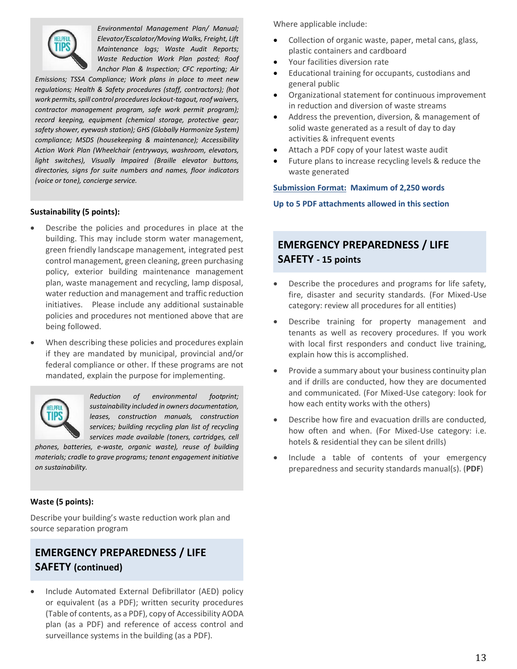

*Environmental Management Plan/ Manual; Elevator/Escalator/Moving Walks, Freight, Lift Maintenance logs; Waste Audit Reports; Waste Reduction Work Plan posted; Roof Anchor Plan & Inspection; CFC reporting; Air* 

*Emissions; TSSA Compliance; Work plans in place to meet new regulations; Health & Safety procedures (staff, contractors); (hot work permits, spill control procedures lockout-tagout, roof waivers, contractor management program, safe work permit program); record keeping, equipment (chemical storage, protective gear; safety shower, eyewash station); GHS (Globally Harmonize System) compliance; MSDS (housekeeping & maintenance); Accessibility Action Work Plan (Wheelchair (entryways, washroom, elevators, light switches), Visually Impaired (Braille elevator buttons, directories, signs for suite numbers and names, floor indicators (voice or tone), concierge service.*

## **Sustainability (5 points):**

- Describe the policies and procedures in place at the building. This may include storm water management, green friendly landscape management, integrated pest control management, green cleaning, green purchasing policy, exterior building maintenance management plan, waste management and recycling, lamp disposal, water reduction and management and traffic reduction initiatives. Please include any additional sustainable policies and procedures not mentioned above that are being followed.
- When describing these policies and procedures explain if they are mandated by municipal, provincial and/or federal compliance or other. If these programs are not mandated, explain the purpose for implementing.



*Reduction of environmental footprint; sustainability included in owners documentation, leases, construction manuals, construction services; building recycling plan list of recycling services made available (toners, cartridges, cell* 

*phones, batteries, e-waste, organic waste), reuse of building materials; cradle to grave programs; tenant engagement initiative on sustainability.*

## **Waste (5 points):**

Describe your building's waste reduction work plan and source separation program

## **EMERGENCY PREPAREDNESS / LIFE SAFETY (continued)**

• Include Automated External Defibrillator (AED) policy or equivalent (as a PDF); written security procedures (Table of contents, as a PDF), copy of Accessibility AODA plan (as a PDF) and reference of access control and surveillance systems in the building (as a PDF).

Where applicable include:

- Collection of organic waste, paper, metal cans, glass, plastic containers and cardboard
- Your facilities diversion rate
- Educational training for occupants, custodians and general public
- Organizational statement for continuous improvement in reduction and diversion of waste streams
- Address the prevention, diversion, & management of solid waste generated as a result of day to day activities & infrequent events
- Attach a PDF copy of your latest waste audit
- Future plans to increase recycling levels & reduce the waste generated

#### **Submission Format: Maximum of 2,250 words**

**Up to 5 PDF attachments allowed in this section**

## **EMERGENCY PREPAREDNESS / LIFE SAFETY - 15 points**

- Describe the procedures and programs for life safety, fire, disaster and security standards. (For Mixed-Use category: review all procedures for all entities)
- Describe training for property management and tenants as well as recovery procedures. If you work with local first responders and conduct live training, explain how this is accomplished.
- Provide a summary about your business continuity plan and if drills are conducted, how they are documented and communicated. (For Mixed-Use category: look for how each entity works with the others)
- Describe how fire and evacuation drills are conducted, how often and when. (For Mixed-Use category: i.e. hotels & residential they can be silent drills)
- Include a table of contents of your emergency preparedness and security standards manual(s). (**PDF**)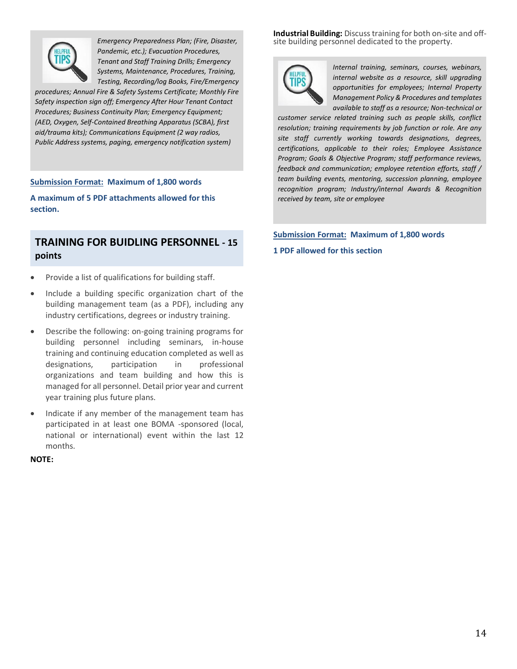

*Emergency Preparedness Plan; (Fire, Disaster, Pandemic, etc.); Evacuation Procedures, Tenant and Staff Training Drills; Emergency Systems, Maintenance, Procedures, Training, Testing, Recording/log Books, Fire/Emergency* 

*procedures; Annual Fire & Safety Systems Certificate; Monthly Fire Safety inspection sign off; Emergency After Hour Tenant Contact Procedures; Business Continuity Plan; Emergency Equipment; (AED, Oxygen, Self-Contained Breathing Apparatus (SCBA), first aid/trauma kits); Communications Equipment (2 way radios, Public Address systems, paging, emergency notification system)*

#### **Submission Format: Maximum of 1,800 words**

**A maximum of 5 PDF attachments allowed for this section.**

## **TRAINING FOR BUIDLING PERSONNEL - 15 points**

- Provide a list of qualifications for building staff.
- Include a building specific organization chart of the building management team (as a PDF), including any industry certifications, degrees or industry training.
- Describe the following: on-going training programs for building personnel including seminars, in-house training and continuing education completed as well as designations, participation in professional organizations and team building and how this is managed for all personnel. Detail prior year and current year training plus future plans.
- Indicate if any member of the management team has participated in at least one BOMA -sponsored (local, national or international) event within the last 12 months.

**NOTE:** 

**Industrial Building:** Discuss training for both on-site and offsite building personnel dedicated to the property.



*Internal training, seminars, courses, webinars, internal website as a resource, skill upgrading opportunities for employees; Internal Property Management Policy & Procedures and templates available to staff as a resource; Non-technical or* 

*customer service related training such as people skills, conflict resolution; training requirements by job function or role. Are any site staff currently working towards designations, degrees, certifications, applicable to their roles; Employee Assistance Program; Goals & Objective Program; staff performance reviews, feedback and communication; employee retention efforts, staff / team building events, mentoring, succession planning, employee recognition program; Industry/internal Awards & Recognition received by team, site or employee*

## **Submission Format: Maximum of 1,800 words 1 PDF allowed for this section**